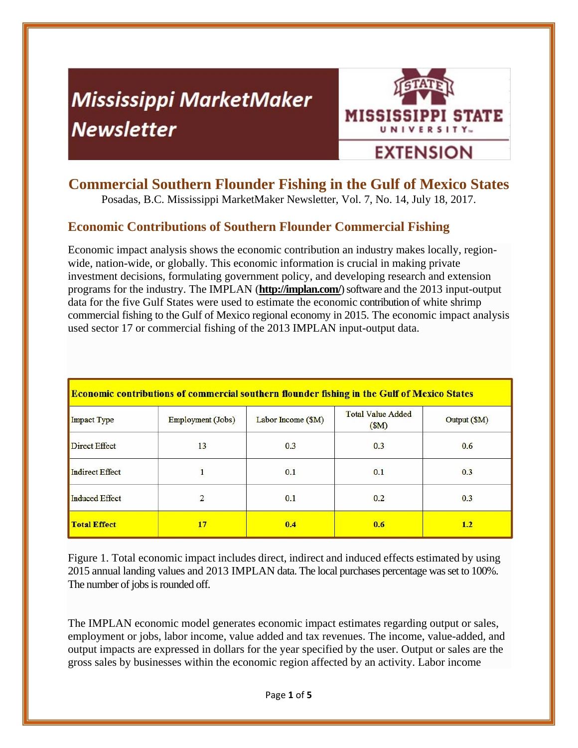# **Mississippi MarketMaker Newsletter**



# **Commercial Southern Flounder Fishing in the Gulf of Mexico States**

Posadas, B.C. Mississippi MarketMaker Newsletter, Vol. 7, No. 14, July 18, 2017.

# **Economic Contributions of Southern Flounder Commercial Fishing**

Economic impact analysis shows the economic contribution an industry makes locally, regionwide, nation-wide, or globally. This economic information is crucial in making private investment decisions, formulating government policy, and developing research and extension programs for the industry. The IMPLAN (**http://implan.com/**) software and the 2013 input-output data for the five Gulf States were used to estimate the economic contribution of white shrimp commercial fishing to the Gulf of Mexico regional economy in 2015. The economic impact analysis used sector 17 or commercial fishing of the 2013 IMPLAN input-output data.

| <b>Economic contributions of commercial southern flounder fishing in the Gulf of Mexico States</b> |                   |                    |                                  |              |
|----------------------------------------------------------------------------------------------------|-------------------|--------------------|----------------------------------|--------------|
| <b>Impact Type</b>                                                                                 | Employment (Jobs) | Labor Income (\$M) | <b>Total Value Added</b><br>(SM) | Output (\$M) |
| <b>Direct Effect</b>                                                                               | 13                | 0.3                | 0.3                              | 0.6          |
| <b>Indirect Effect</b>                                                                             | $\mathbf{1}$      | 0.1                | 0.1                              | 0.3          |
| <b>Induced Effect</b>                                                                              | 2                 | 0.1                | 0.2                              | 0.3          |
| <b>Total Effect</b>                                                                                | 17                | 0.4                | 0.6                              | 1.2          |

Figure 1. Total economic impact includes direct, indirect and induced effects estimated by using 2015 annual landing values and 2013 IMPLAN data. The local purchases percentage was set to 100%. The number of jobs is rounded off.

The IMPLAN economic model generates economic impact estimates regarding output or sales, employment or jobs, labor income, value added and tax revenues. The income, value-added, and output impacts are expressed in dollars for the year specified by the user. Output or sales are the gross sales by businesses within the economic region affected by an activity. Labor income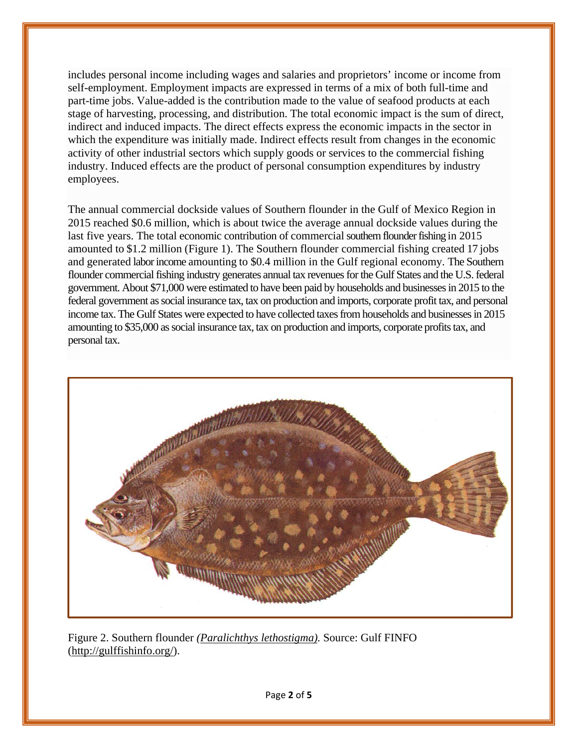includes personal income including wages and salaries and proprietors' income or income from self-employment. Employment impacts are expressed in terms of a mix of both full-time and part-time jobs. Value-added is the contribution made to the value of seafood products at each stage of harvesting, processing, and distribution. The total economic impact is the sum of direct, indirect and induced impacts. The direct effects express the economic impacts in the sector in which the expenditure was initially made. Indirect effects result from changes in the economic activity of other industrial sectors which supply goods or services to the commercial fishing industry. Induced effects are the product of personal consumption expenditures by industry employees.

The annual commercial dockside values of Southern flounder in the Gulf of Mexico Region in 2015 reached \$0.6 million, which is about twice the average annual dockside values during the last five years. The total economic contribution of commercial southern flounder fishing in 2015 amounted to \$1.2 million (Figure 1). The Southern flounder commercial fishing created 17 jobs and generated labor income amounting to \$0.4 million in the Gulf regional economy. The Southern flounder commercial fishing industry generates annual tax revenues for the Gulf States and the U.S. federal government. About \$71,000 were estimated to have been paid by households and businesses in 2015 to the federal government as social insurance tax, tax on production and imports, corporate profit tax, and personal income tax. The Gulf States were expected to have collected taxes from households and businesses in 2015 amounting to \$35,000 as social insurance tax, tax on production and imports, corporate profits tax, and personal tax.



Figure 2. Southern flounder *(Paralichthys lethostigma).* Source: Gulf FINFO (http://gulffishinfo.org/).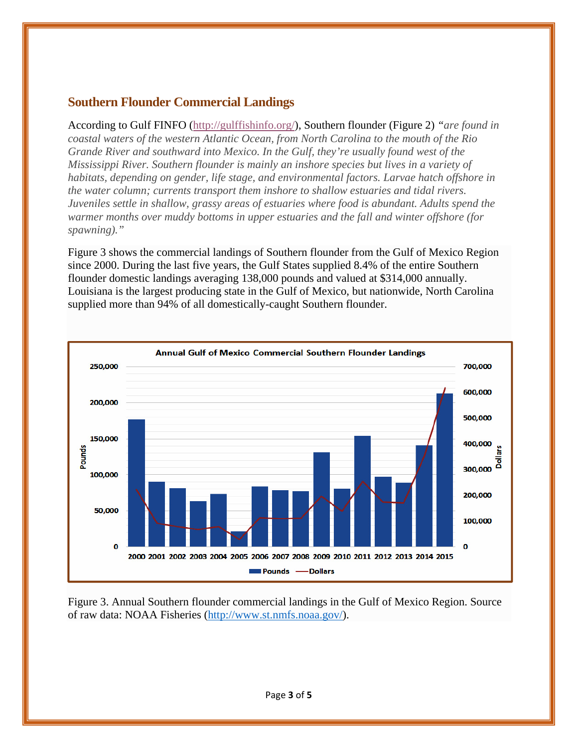### **Southern Flounder Commercial Landings**

According to Gulf FINFO (http://gulffishinfo.org/), Southern flounder (Figure 2) *"are found in coastal waters of the western Atlantic Ocean, from North Carolina to the mouth of the Rio Grande River and southward into Mexico. In the Gulf, they're usually found west of the Mississippi River. Southern flounder is mainly an inshore species but lives in a variety of habitats, depending on gender, life stage, and environmental factors. Larvae hatch offshore in the water column; currents transport them inshore to shallow estuaries and tidal rivers. Juveniles settle in shallow, grassy areas of estuaries where food is abundant. Adults spend the warmer months over muddy bottoms in upper estuaries and the fall and winter offshore (for spawning)."* 

Figure 3 shows the commercial landings of Southern flounder from the Gulf of Mexico Region since 2000. During the last five years, the Gulf States supplied 8.4% of the entire Southern flounder domestic landings averaging 138,000 pounds and valued at \$314,000 annually. Louisiana is the largest producing state in the Gulf of Mexico, but nationwide, North Carolina supplied more than 94% of all domestically-caught Southern flounder.



Figure 3. Annual Southern flounder commercial landings in the Gulf of Mexico Region. Source of raw data: NOAA Fisheries (http://www.st.nmfs.noaa.gov/).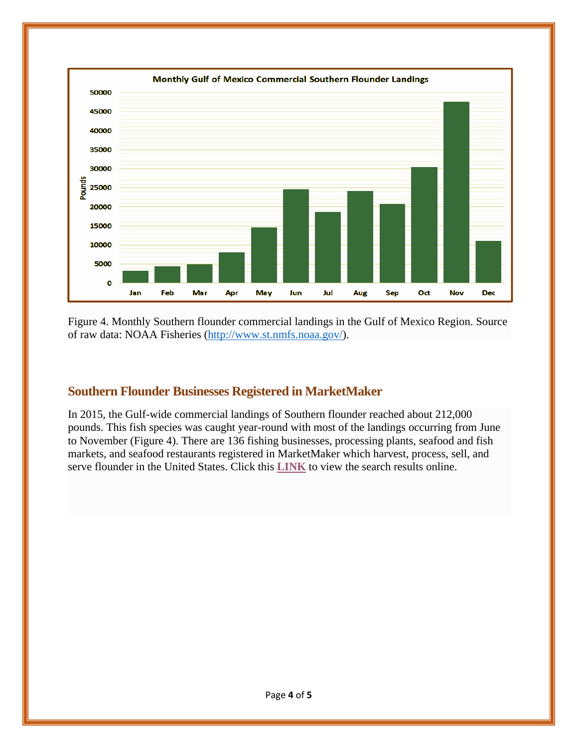

Figure 4. Monthly Southern flounder commercial landings in the Gulf of Mexico Region. Source of raw data: NOAA Fisheries (http://www.st.nmfs.noaa.gov/).

## **Southern Flounder Businesses Registered in MarketMaker**

In 2015, the Gulf-wide commercial landings of Southern flounder reached about 212,000 pounds. This fish species was caught year-round with most of the landings occurring from June to November (Figure 4). There are 136 fishing businesses, processing plants, seafood and fish markets, and seafood restaurants registered in MarketMaker which harvest, process, sell, and serve flounder in the United States. Click this **LINK** to view the search results online.